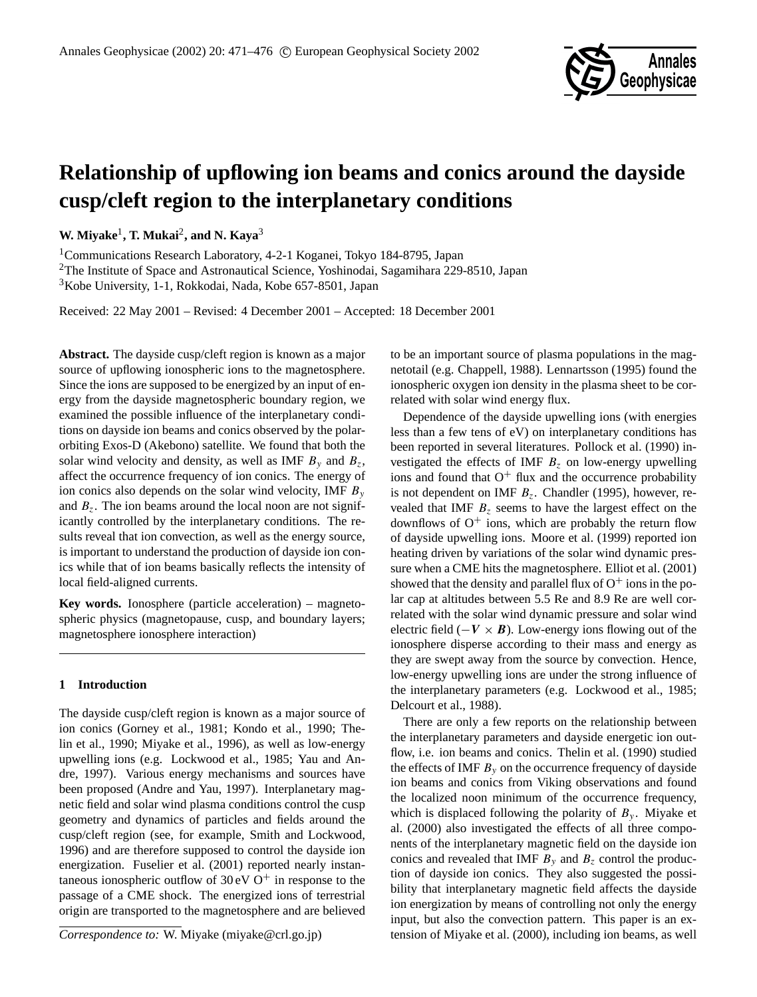

# **Relationship of upflowing ion beams and conics around the dayside cusp/cleft region to the interplanetary conditions**

**W. Miyake**<sup>1</sup> **, T. Mukai**<sup>2</sup> **, and N. Kaya**<sup>3</sup>

<sup>1</sup>Communications Research Laboratory, 4-2-1 Koganei, Tokyo 184-8795, Japan

<sup>2</sup>The Institute of Space and Astronautical Science, Yoshinodai, Sagamihara 229-8510, Japan <sup>3</sup>Kobe University, 1-1, Rokkodai, Nada, Kobe 657-8501, Japan

Received: 22 May 2001 – Revised: 4 December 2001 – Accepted: 18 December 2001

**Abstract.** The dayside cusp/cleft region is known as a major source of upflowing ionospheric ions to the magnetosphere. Since the ions are supposed to be energized by an input of energy from the dayside magnetospheric boundary region, we examined the possible influence of the interplanetary conditions on dayside ion beams and conics observed by the polarorbiting Exos-D (Akebono) satellite. We found that both the solar wind velocity and density, as well as IMF  $B_y$  and  $B_z$ , affect the occurrence frequency of ion conics. The energy of ion conics also depends on the solar wind velocity, IMF  $B_y$ and  $B_z$ . The ion beams around the local noon are not significantly controlled by the interplanetary conditions. The results reveal that ion convection, as well as the energy source, is important to understand the production of dayside ion conics while that of ion beams basically reflects the intensity of local field-aligned currents.

**Key words.** Ionosphere (particle acceleration) – magnetospheric physics (magnetopause, cusp, and boundary layers; magnetosphere ionosphere interaction)

# **1 Introduction**

The dayside cusp/cleft region is known as a major source of ion conics (Gorney et al., 1981; Kondo et al., 1990; Thelin et al., 1990; Miyake et al., 1996), as well as low-energy upwelling ions (e.g. Lockwood et al., 1985; Yau and Andre, 1997). Various energy mechanisms and sources have been proposed (Andre and Yau, 1997). Interplanetary magnetic field and solar wind plasma conditions control the cusp geometry and dynamics of particles and fields around the cusp/cleft region (see, for example, Smith and Lockwood, 1996) and are therefore supposed to control the dayside ion energization. Fuselier et al. (2001) reported nearly instantaneous ionospheric outflow of  $30 \text{ eV}$  O<sup>+</sup> in response to the passage of a CME shock. The energized ions of terrestrial origin are transported to the magnetosphere and are believed

*Correspondence to:* W. Miyake (miyake@crl.go.jp)

to be an important source of plasma populations in the magnetotail (e.g. Chappell, 1988). Lennartsson (1995) found the ionospheric oxygen ion density in the plasma sheet to be correlated with solar wind energy flux.

Dependence of the dayside upwelling ions (with energies less than a few tens of eV) on interplanetary conditions has been reported in several literatures. Pollock et al. (1990) investigated the effects of IMF  $B<sub>z</sub>$  on low-energy upwelling ions and found that  $O^+$  flux and the occurrence probability is not dependent on IMF  $B_z$ . Chandler (1995), however, revealed that IMF  $B<sub>z</sub>$  seems to have the largest effect on the downflows of  $O^+$  ions, which are probably the return flow of dayside upwelling ions. Moore et al. (1999) reported ion heating driven by variations of the solar wind dynamic pressure when a CME hits the magnetosphere. Elliot et al. (2001) showed that the density and parallel flux of  $O^+$  ions in the polar cap at altitudes between 5.5 Re and 8.9 Re are well correlated with the solar wind dynamic pressure and solar wind electric field ( $-V \times B$ ). Low-energy ions flowing out of the ionosphere disperse according to their mass and energy as they are swept away from the source by convection. Hence, low-energy upwelling ions are under the strong influence of the interplanetary parameters (e.g. Lockwood et al., 1985; Delcourt et al., 1988).

There are only a few reports on the relationship between the interplanetary parameters and dayside energetic ion outflow, i.e. ion beams and conics. Thelin et al. (1990) studied the effects of IMF  $B<sub>y</sub>$  on the occurrence frequency of dayside ion beams and conics from Viking observations and found the localized noon minimum of the occurrence frequency, which is displaced following the polarity of  $B_y$ . Miyake et al. (2000) also investigated the effects of all three components of the interplanetary magnetic field on the dayside ion conics and revealed that IMF  $B_y$  and  $B_z$  control the production of dayside ion conics. They also suggested the possibility that interplanetary magnetic field affects the dayside ion energization by means of controlling not only the energy input, but also the convection pattern. This paper is an extension of Miyake et al. (2000), including ion beams, as well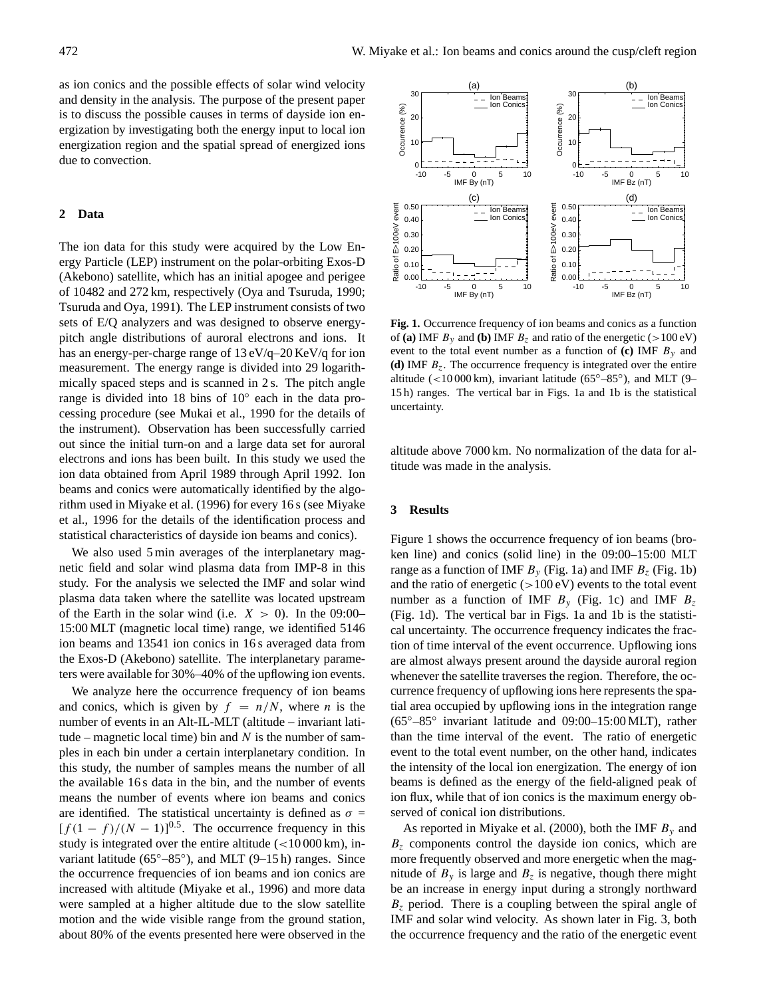as ion conics and the possible effects of solar wind velocity and density in the analysis. The purpose of the present paper is to discuss the possible causes in terms of dayside ion energization by investigating both the energy input to local ion energization region and the spatial spread of energized ions due to convection.

# **2 Data**

The ion data for this study were acquired by the Low Energy Particle (LEP) instrument on the polar-orbiting Exos-D (Akebono) satellite, which has an initial apogee and perigee of 10482 and 272 km, respectively (Oya and Tsuruda, 1990; Tsuruda and Oya, 1991). The LEP instrument consists of two sets of E/Q analyzers and was designed to observe energypitch angle distributions of auroral electrons and ions. It has an energy-per-charge range of 13 eV/q–20 KeV/q for ion measurement. The energy range is divided into 29 logarithmically spaced steps and is scanned in 2 s. The pitch angle range is divided into 18 bins of 10◦ each in the data processing procedure (see Mukai et al., 1990 for the details of the instrument). Observation has been successfully carried out since the initial turn-on and a large data set for auroral electrons and ions has been built. In this study we used the ion data obtained from April 1989 through April 1992. Ion beams and conics were automatically identified by the algorithm used in Miyake et al. (1996) for every 16 s (see Miyake et al., 1996 for the details of the identification process and statistical characteristics of dayside ion beams and conics).

We also used 5 min averages of the interplanetary magnetic field and solar wind plasma data from IMP-8 in this study. For the analysis we selected the IMF and solar wind plasma data taken where the satellite was located upstream of the Earth in the solar wind (i.e.  $X > 0$ ). In the 09:00– 15:00 MLT (magnetic local time) range, we identified 5146 ion beams and 13541 ion conics in 16 s averaged data from the Exos-D (Akebono) satellite. The interplanetary parameters were available for 30%–40% of the upflowing ion events.

We analyze here the occurrence frequency of ion beams and conics, which is given by  $f = n/N$ , where *n* is the number of events in an Alt-IL-MLT (altitude – invariant latitude – magnetic local time) bin and  $N$  is the number of samples in each bin under a certain interplanetary condition. In this study, the number of samples means the number of all the available 16 s data in the bin, and the number of events means the number of events where ion beams and conics are identified. The statistical uncertainty is defined as  $\sigma =$  $[f(1-f)/(N-1)]^{0.5}$ . The occurrence frequency in this study is integrated over the entire altitude  $\left( < 10000 \text{ km} \right)$ , invariant latitude (65°-85°), and MLT (9-15 h) ranges. Since the occurrence frequencies of ion beams and ion conics are increased with altitude (Miyake et al., 1996) and more data were sampled at a higher altitude due to the slow satellite motion and the wide visible range from the ground station, about 80% of the events presented here were observed in the



**Fig. 1.** Occurrence frequency of ion beams and conics as a function of (a) IMF  $B_y$  and (b) IMF  $B_z$  and ratio of the energetic ( $>100 \text{ eV}$ ) event to the total event number as a function of **(c)** IMF  $B_y$  and **(d)** IMF Bz. The occurrence frequency is integrated over the entire altitude (<10 000 km), invariant latitude ( $65^{\circ} - 85^{\circ}$ ), and MLT (9– 15 h) ranges. The vertical bar in Figs. 1a and 1b is the statistical uncertainty.

altitude above 7000 km. No normalization of the data for altitude was made in the analysis.

#### **3 Results**

Figure 1 shows the occurrence frequency of ion beams (broken line) and conics (solid line) in the 09:00–15:00 MLT range as a function of IMF  $B_y$  (Fig. 1a) and IMF  $B_z$  (Fig. 1b) and the ratio of energetic  $(>100 \text{ eV})$  events to the total event number as a function of IMF  $B<sub>y</sub>$  (Fig. 1c) and IMF  $B<sub>z</sub>$ (Fig. 1d). The vertical bar in Figs. 1a and 1b is the statistical uncertainty. The occurrence frequency indicates the fraction of time interval of the event occurrence. Upflowing ions are almost always present around the dayside auroral region whenever the satellite traverses the region. Therefore, the occurrence frequency of upflowing ions here represents the spatial area occupied by upflowing ions in the integration range (65◦–85◦ invariant latitude and 09:00–15:00 MLT), rather than the time interval of the event. The ratio of energetic event to the total event number, on the other hand, indicates the intensity of the local ion energization. The energy of ion beams is defined as the energy of the field-aligned peak of ion flux, while that of ion conics is the maximum energy observed of conical ion distributions.

As reported in Miyake et al. (2000), both the IMF  $B_y$  and  $B<sub>z</sub>$  components control the dayside ion conics, which are more frequently observed and more energetic when the magnitude of  $B_y$  is large and  $B_z$  is negative, though there might be an increase in energy input during a strongly northward  $B<sub>z</sub>$  period. There is a coupling between the spiral angle of IMF and solar wind velocity. As shown later in Fig. 3, both the occurrence frequency and the ratio of the energetic event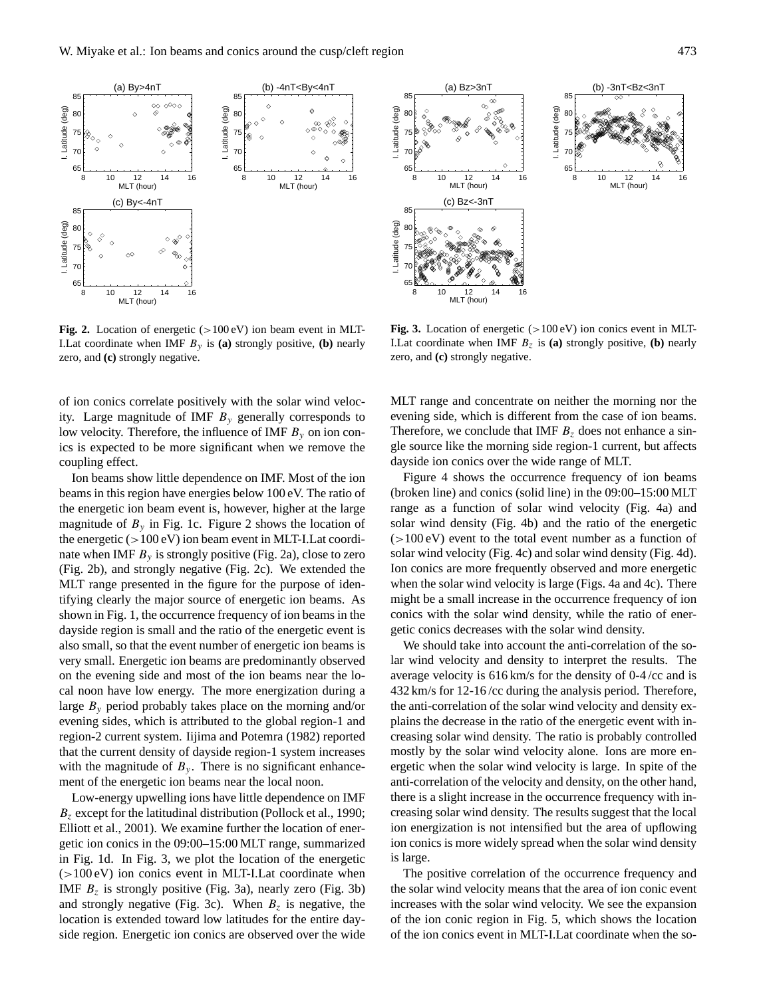

Fig. 2. Location of energetic (>100 eV) ion beam event in MLT-I.Lat coordinate when IMF  $B_y$  is (a) strongly positive, (b) nearly zero, and **(c)** strongly negative.

of ion conics correlate positively with the solar wind velocity. Large magnitude of IMF  $B<sub>v</sub>$  generally corresponds to low velocity. Therefore, the influence of IMF  $B<sub>v</sub>$  on ion conics is expected to be more significant when we remove the coupling effect.

Ion beams show little dependence on IMF. Most of the ion beams in this region have energies below 100 eV. The ratio of the energetic ion beam event is, however, higher at the large magnitude of  $B_y$  in Fig. 1c. Figure 2 shows the location of the energetic  $(>100 \text{ eV})$  ion beam event in MLT-I. Lat coordinate when IMF  $B<sub>v</sub>$  is strongly positive (Fig. 2a), close to zero (Fig. 2b), and strongly negative (Fig. 2c). We extended the MLT range presented in the figure for the purpose of identifying clearly the major source of energetic ion beams. As shown in Fig. 1, the occurrence frequency of ion beams in the dayside region is small and the ratio of the energetic event is also small, so that the event number of energetic ion beams is very small. Energetic ion beams are predominantly observed on the evening side and most of the ion beams near the local noon have low energy. The more energization during a large  $B<sub>v</sub>$  period probably takes place on the morning and/or evening sides, which is attributed to the global region-1 and region-2 current system. Iijima and Potemra (1982) reported that the current density of dayside region-1 system increases with the magnitude of  $B_y$ . There is no significant enhancement of the energetic ion beams near the local noon.

Low-energy upwelling ions have little dependence on IMF  $B<sub>z</sub>$  except for the latitudinal distribution (Pollock et al., 1990; Elliott et al., 2001). We examine further the location of energetic ion conics in the 09:00–15:00 MLT range, summarized in Fig. 1d. In Fig. 3, we plot the location of the energetic  $(>100 \text{ eV})$  ion conics event in MLT-I. Lat coordinate when IMF  $B<sub>z</sub>$  is strongly positive (Fig. 3a), nearly zero (Fig. 3b) and strongly negative (Fig. 3c). When  $B_z$  is negative, the location is extended toward low latitudes for the entire dayside region. Energetic ion conics are observed over the wide



**Fig. 3.** Location of energetic  $(>100 \text{ eV})$  ion conics event in MLT-I.Lat coordinate when IMF  $B_z$  is (a) strongly positive, (b) nearly zero, and **(c)** strongly negative.

MLT range and concentrate on neither the morning nor the evening side, which is different from the case of ion beams. Therefore, we conclude that IMF  $B<sub>z</sub>$  does not enhance a single source like the morning side region-1 current, but affects dayside ion conics over the wide range of MLT.

Figure 4 shows the occurrence frequency of ion beams (broken line) and conics (solid line) in the 09:00–15:00 MLT range as a function of solar wind velocity (Fig. 4a) and solar wind density (Fig. 4b) and the ratio of the energetic  $(>100 \text{ eV})$  event to the total event number as a function of solar wind velocity (Fig. 4c) and solar wind density (Fig. 4d). Ion conics are more frequently observed and more energetic when the solar wind velocity is large (Figs. 4a and 4c). There might be a small increase in the occurrence frequency of ion conics with the solar wind density, while the ratio of energetic conics decreases with the solar wind density.

We should take into account the anti-correlation of the solar wind velocity and density to interpret the results. The average velocity is 616 km/s for the density of 0-4 /cc and is 432 km/s for 12-16 /cc during the analysis period. Therefore, the anti-correlation of the solar wind velocity and density explains the decrease in the ratio of the energetic event with increasing solar wind density. The ratio is probably controlled mostly by the solar wind velocity alone. Ions are more energetic when the solar wind velocity is large. In spite of the anti-correlation of the velocity and density, on the other hand, there is a slight increase in the occurrence frequency with increasing solar wind density. The results suggest that the local ion energization is not intensified but the area of upflowing ion conics is more widely spread when the solar wind density is large.

The positive correlation of the occurrence frequency and the solar wind velocity means that the area of ion conic event increases with the solar wind velocity. We see the expansion of the ion conic region in Fig. 5, which shows the location of the ion conics event in MLT-I.Lat coordinate when the so-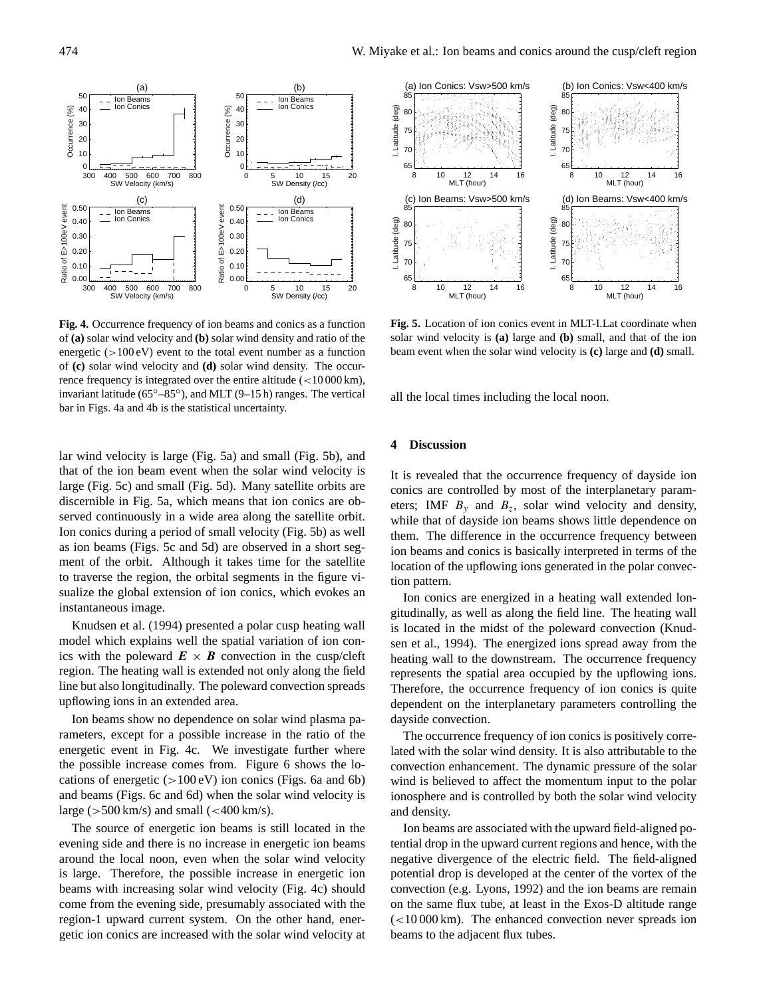

**Fig. 4.** Occurrence frequency of ion beams and conics as a function of **(a)** solar wind velocity and **(b)** solar wind density and ratio of the energetic  $(>100 \text{ eV})$  event to the total event number as a function of **(c)** solar wind velocity and **(d)** solar wind density. The occurrence frequency is integrated over the entire altitude (<10 000 km), invariant latitude (65◦–85◦ ), and MLT (9–15 h) ranges. The vertical bar in Figs. 4a and 4b is the statistical uncertainty.

lar wind velocity is large (Fig. 5a) and small (Fig. 5b), and that of the ion beam event when the solar wind velocity is large (Fig. 5c) and small (Fig. 5d). Many satellite orbits are discernible in Fig. 5a, which means that ion conics are observed continuously in a wide area along the satellite orbit. Ion conics during a period of small velocity (Fig. 5b) as well as ion beams (Figs. 5c and 5d) are observed in a short segment of the orbit. Although it takes time for the satellite to traverse the region, the orbital segments in the figure visualize the global extension of ion conics, which evokes an instantaneous image.

Knudsen et al. (1994) presented a polar cusp heating wall model which explains well the spatial variation of ion conics with the poleward  $E \times B$  convection in the cusp/cleft region. The heating wall is extended not only along the field line but also longitudinally. The poleward convection spreads upflowing ions in an extended area.

Ion beams show no dependence on solar wind plasma parameters, except for a possible increase in the ratio of the energetic event in Fig. 4c. We investigate further where the possible increase comes from. Figure 6 shows the locations of energetic  $(>100 \text{ eV})$  ion conics (Figs. 6a and 6b) and beams (Figs. 6c and 6d) when the solar wind velocity is large ( $>500 \,\mathrm{km/s}$ ) and small ( $<400 \,\mathrm{km/s}$ ).

The source of energetic ion beams is still located in the evening side and there is no increase in energetic ion beams around the local noon, even when the solar wind velocity is large. Therefore, the possible increase in energetic ion beams with increasing solar wind velocity (Fig. 4c) should come from the evening side, presumably associated with the region-1 upward current system. On the other hand, energetic ion conics are increased with the solar wind velocity at



**Fig. 5.** Location of ion conics event in MLT-I.Lat coordinate when solar wind velocity is **(a)** large and **(b)** small, and that of the ion beam event when the solar wind velocity is **(c)** large and **(d)** small.

all the local times including the local noon.

## **4 Discussion**

It is revealed that the occurrence frequency of dayside ion conics are controlled by most of the interplanetary parameters; IMF  $B_y$  and  $B_z$ , solar wind velocity and density, while that of dayside ion beams shows little dependence on them. The difference in the occurrence frequency between ion beams and conics is basically interpreted in terms of the location of the upflowing ions generated in the polar convection pattern.

Ion conics are energized in a heating wall extended longitudinally, as well as along the field line. The heating wall is located in the midst of the poleward convection (Knudsen et al., 1994). The energized ions spread away from the heating wall to the downstream. The occurrence frequency represents the spatial area occupied by the upflowing ions. Therefore, the occurrence frequency of ion conics is quite dependent on the interplanetary parameters controlling the dayside convection.

The occurrence frequency of ion conics is positively correlated with the solar wind density. It is also attributable to the convection enhancement. The dynamic pressure of the solar wind is believed to affect the momentum input to the polar ionosphere and is controlled by both the solar wind velocity and density.

Ion beams are associated with the upward field-aligned potential drop in the upward current regions and hence, with the negative divergence of the electric field. The field-aligned potential drop is developed at the center of the vortex of the convection (e.g. Lyons, 1992) and the ion beams are remain on the same flux tube, at least in the Exos-D altitude range  $\epsilon$  (<10 000 km). The enhanced convection never spreads ion beams to the adjacent flux tubes.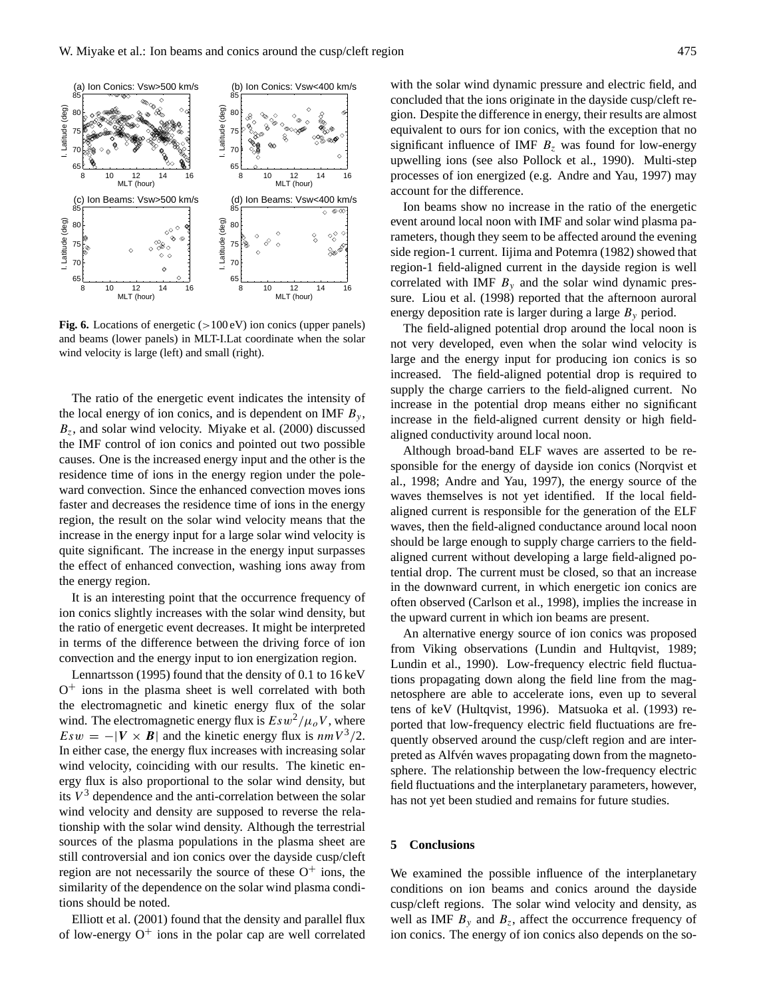

**Fig. 6.** Locations of energetic ( $>100 \text{ eV}$ ) ion conics (upper panels) and beams (lower panels) in MLT-I.Lat coordinate when the solar wind velocity is large (left) and small (right).

The ratio of the energetic event indicates the intensity of the local energy of ion conics, and is dependent on IMF  $B_y$ ,  $B_z$ , and solar wind velocity. Miyake et al. (2000) discussed the IMF control of ion conics and pointed out two possible causes. One is the increased energy input and the other is the residence time of ions in the energy region under the poleward convection. Since the enhanced convection moves ions faster and decreases the residence time of ions in the energy region, the result on the solar wind velocity means that the increase in the energy input for a large solar wind velocity is quite significant. The increase in the energy input surpasses the effect of enhanced convection, washing ions away from the energy region.

It is an interesting point that the occurrence frequency of ion conics slightly increases with the solar wind density, but the ratio of energetic event decreases. It might be interpreted in terms of the difference between the driving force of ion convection and the energy input to ion energization region.

Lennartsson (1995) found that the density of 0.1 to 16 keV O <sup>+</sup> ions in the plasma sheet is well correlated with both the electromagnetic and kinetic energy flux of the solar wind. The electromagnetic energy flux is  $Esw^2/\mu_o V$ , where  $Esw = -|V \times B|$  and the kinetic energy flux is  $nmV^3/2$ . In either case, the energy flux increases with increasing solar wind velocity, coinciding with our results. The kinetic energy flux is also proportional to the solar wind density, but its  $V<sup>3</sup>$  dependence and the anti-correlation between the solar wind velocity and density are supposed to reverse the relationship with the solar wind density. Although the terrestrial sources of the plasma populations in the plasma sheet are still controversial and ion conics over the dayside cusp/cleft region are not necessarily the source of these  $O^+$  ions, the similarity of the dependence on the solar wind plasma conditions should be noted.

Elliott et al. (2001) found that the density and parallel flux of low-energy  $O<sup>+</sup>$  ions in the polar cap are well correlated

with the solar wind dynamic pressure and electric field, and concluded that the ions originate in the dayside cusp/cleft region. Despite the difference in energy, their results are almost equivalent to ours for ion conics, with the exception that no significant influence of IMF  $B<sub>z</sub>$  was found for low-energy upwelling ions (see also Pollock et al., 1990). Multi-step processes of ion energized (e.g. Andre and Yau, 1997) may account for the difference.

Ion beams show no increase in the ratio of the energetic event around local noon with IMF and solar wind plasma parameters, though they seem to be affected around the evening side region-1 current. Iijima and Potemra (1982) showed that region-1 field-aligned current in the dayside region is well correlated with IMF  $B<sub>v</sub>$  and the solar wind dynamic pressure. Liou et al. (1998) reported that the afternoon auroral energy deposition rate is larger during a large  $B<sub>y</sub>$  period.

The field-aligned potential drop around the local noon is not very developed, even when the solar wind velocity is large and the energy input for producing ion conics is so increased. The field-aligned potential drop is required to supply the charge carriers to the field-aligned current. No increase in the potential drop means either no significant increase in the field-aligned current density or high fieldaligned conductivity around local noon.

Although broad-band ELF waves are asserted to be responsible for the energy of dayside ion conics (Norqvist et al., 1998; Andre and Yau, 1997), the energy source of the waves themselves is not yet identified. If the local fieldaligned current is responsible for the generation of the ELF waves, then the field-aligned conductance around local noon should be large enough to supply charge carriers to the fieldaligned current without developing a large field-aligned potential drop. The current must be closed, so that an increase in the downward current, in which energetic ion conics are often observed (Carlson et al., 1998), implies the increase in the upward current in which ion beams are present.

An alternative energy source of ion conics was proposed from Viking observations (Lundin and Hultqvist, 1989; Lundin et al., 1990). Low-frequency electric field fluctuations propagating down along the field line from the magnetosphere are able to accelerate ions, even up to several tens of keV (Hultqvist, 1996). Matsuoka et al. (1993) reported that low-frequency electric field fluctuations are frequently observed around the cusp/cleft region and are interpreted as Alfvén waves propagating down from the magnetosphere. The relationship between the low-frequency electric field fluctuations and the interplanetary parameters, however, has not yet been studied and remains for future studies.

## **5 Conclusions**

We examined the possible influence of the interplanetary conditions on ion beams and conics around the dayside cusp/cleft regions. The solar wind velocity and density, as well as IMF  $B_y$  and  $B_z$ , affect the occurrence frequency of ion conics. The energy of ion conics also depends on the so